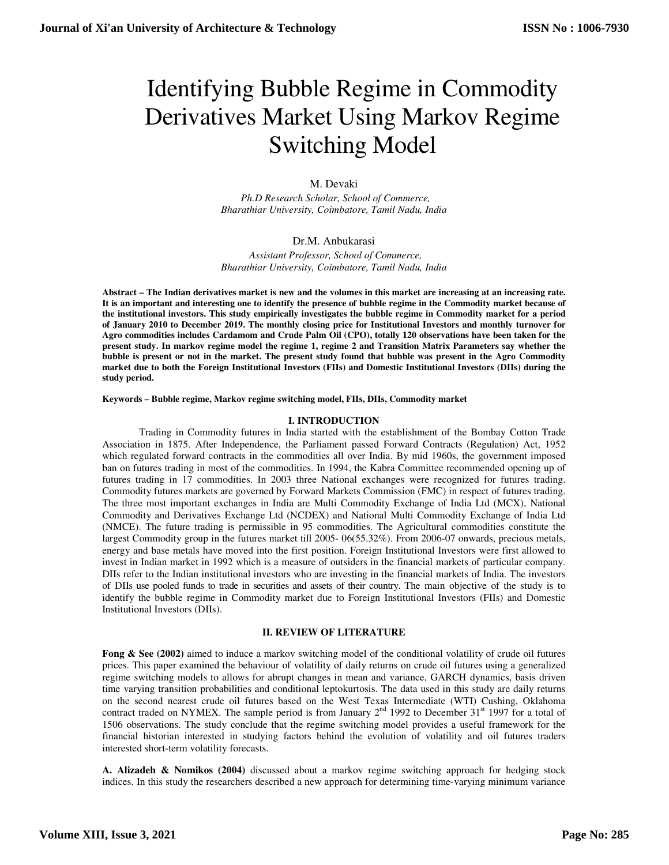# Identifying Bubble Regime in Commodity Derivatives Market Using Markov Regime Switching Model

# M. Devaki

 *Ph.D Research Scholar, School of Commerce, Bharathiar University, Coimbatore, Tamil Nadu, India* 

# Dr.M. Anbukarasi

 *Assistant Professor, School of Commerce, Bharathiar University, Coimbatore, Tamil Nadu, India* 

**Abstract – The Indian derivatives market is new and the volumes in this market are increasing at an increasing rate. It is an important and interesting one to identify the presence of bubble regime in the Commodity market because of the institutional investors. This study empirically investigates the bubble regime in Commodity market for a period of January 2010 to December 2019. The monthly closing price for Institutional Investors and monthly turnover for Agro commodities includes Cardamom and Crude Palm Oil (CPO), totally 120 observations have been taken for the present study. In markov regime model the regime 1, regime 2 and Transition Matrix Parameters say whether the bubble is present or not in the market. The present study found that bubble was present in the Agro Commodity market due to both the Foreign Institutional Investors (FIIs) and Domestic Institutional Investors (DIIs) during the study period.** 

**Keywords – Bubble regime, Markov regime switching model, FIIs, DIIs, Commodity market** 

# **I. INTRODUCTION**

 Trading in Commodity futures in India started with the establishment of the Bombay Cotton Trade Association in 1875. After Independence, the Parliament passed Forward Contracts (Regulation) Act, 1952 which regulated forward contracts in the commodities all over India. By mid 1960s, the government imposed ban on futures trading in most of the commodities. In 1994, the Kabra Committee recommended opening up of futures trading in 17 commodities. In 2003 three National exchanges were recognized for futures trading. Commodity futures markets are governed by Forward Markets Commission (FMC) in respect of futures trading. The three most important exchanges in India are Multi Commodity Exchange of India Ltd (MCX), National Commodity and Derivatives Exchange Ltd (NCDEX) and National Multi Commodity Exchange of India Ltd (NMCE). The future trading is permissible in 95 commodities. The Agricultural commodities constitute the largest Commodity group in the futures market till 2005- 06(55.32%). From 2006-07 onwards, precious metals, energy and base metals have moved into the first position. Foreign Institutional Investors were first allowed to invest in Indian market in 1992 which is a measure of outsiders in the financial markets of particular company. DIIs refer to the Indian institutional investors who are investing in the financial markets of India. The investors of DIIs use pooled funds to trade in securities and assets of their country. The main objective of the study is to identify the bubble regime in Commodity market due to Foreign Institutional Investors (FIIs) and Domestic Institutional Investors (DIIs).

#### **II. REVIEW OF LITERATURE**

**Fong & See (2002)** aimed to induce a markov switching model of the conditional volatility of crude oil futures prices. This paper examined the behaviour of volatility of daily returns on crude oil futures using a generalized regime switching models to allows for abrupt changes in mean and variance, GARCH dynamics, basis driven time varying transition probabilities and conditional leptokurtosis. The data used in this study are daily returns on the second nearest crude oil futures based on the West Texas Intermediate (WTI) Cushing, Oklahoma contract traded on NYMEX. The sample period is from January  $2<sup>nd</sup>$  1992 to December 31<sup>st</sup> 1997 for a total of 1506 observations. The study conclude that the regime switching model provides a useful framework for the financial historian interested in studying factors behind the evolution of volatility and oil futures traders interested short-term volatility forecasts.

**A. Alizadeh & Nomikos (2004)** discussed about a markov regime switching approach for hedging stock indices. In this study the researchers described a new approach for determining time-varying minimum variance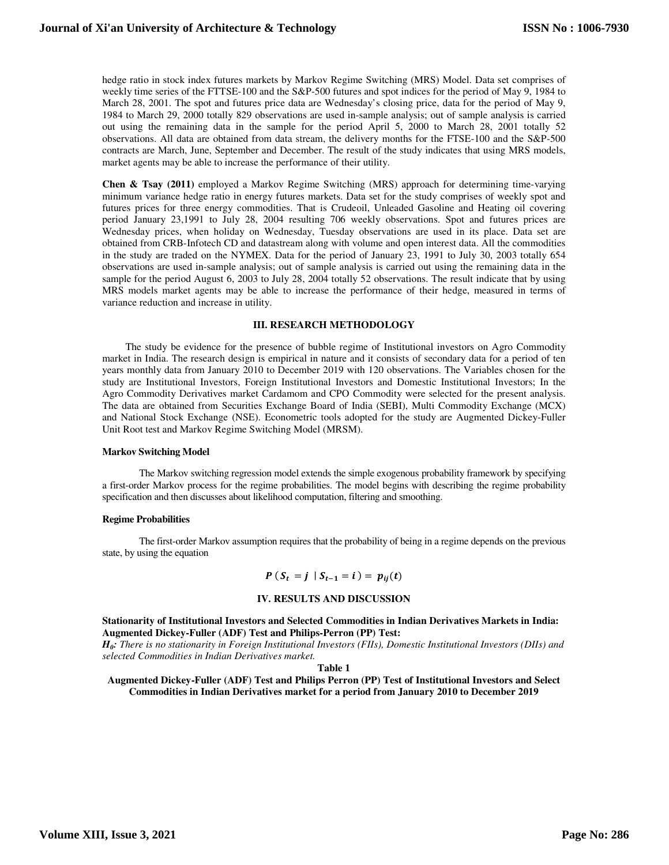hedge ratio in stock index futures markets by Markov Regime Switching (MRS) Model. Data set comprises of weekly time series of the FTTSE-100 and the S&P-500 futures and spot indices for the period of May 9, 1984 to March 28, 2001. The spot and futures price data are Wednesday's closing price, data for the period of May 9, 1984 to March 29, 2000 totally 829 observations are used in-sample analysis; out of sample analysis is carried out using the remaining data in the sample for the period April 5, 2000 to March 28, 2001 totally 52 observations. All data are obtained from data stream, the delivery months for the FTSE-100 and the S&P-500 contracts are March, June, September and December. The result of the study indicates that using MRS models, market agents may be able to increase the performance of their utility.

**Chen & Tsay (2011)** employed a Markov Regime Switching (MRS) approach for determining time-varying minimum variance hedge ratio in energy futures markets. Data set for the study comprises of weekly spot and futures prices for three energy commodities. That is Crudeoil, Unleaded Gasoline and Heating oil covering period January 23,1991 to July 28, 2004 resulting 706 weekly observations. Spot and futures prices are Wednesday prices, when holiday on Wednesday, Tuesday observations are used in its place. Data set are obtained from CRB-Infotech CD and datastream along with volume and open interest data. All the commodities in the study are traded on the NYMEX. Data for the period of January 23, 1991 to July 30, 2003 totally 654 observations are used in-sample analysis; out of sample analysis is carried out using the remaining data in the sample for the period August 6, 2003 to July 28, 2004 totally 52 observations. The result indicate that by using MRS models market agents may be able to increase the performance of their hedge, measured in terms of variance reduction and increase in utility.

#### **III. RESEARCH METHODOLOGY**

 The study be evidence for the presence of bubble regime of Institutional investors on Agro Commodity market in India. The research design is empirical in nature and it consists of secondary data for a period of ten years monthly data from January 2010 to December 2019 with 120 observations. The Variables chosen for the study are Institutional Investors, Foreign Institutional Investors and Domestic Institutional Investors; In the Agro Commodity Derivatives market Cardamom and CPO Commodity were selected for the present analysis. The data are obtained from Securities Exchange Board of India (SEBI), Multi Commodity Exchange (MCX) and National Stock Exchange (NSE). Econometric tools adopted for the study are Augmented Dickey-Fuller Unit Root test and Markov Regime Switching Model (MRSM).

#### **Markov Switching Model**

 The Markov switching regression model extends the simple exogenous probability framework by specifying a first-order Markov process for the regime probabilities. The model begins with describing the regime probability specification and then discusses about likelihood computation, filtering and smoothing.

#### **Regime Probabilities**

 The first-order Markov assumption requires that the probability of being in a regime depends on the previous state, by using the equation

$$
P(S_t = j | S_{t-1} = i) = p_{ij}(t)
$$

#### **IV. RESULTS AND DISCUSSION**

**Stationarity of Institutional Investors and Selected Commodities in Indian Derivatives Markets in India: Augmented Dickey-Fuller (ADF) Test and Philips-Perron (PP) Test:** 

*H0: There is no stationarity in Foreign Institutional Investors (FIIs), Domestic Institutional Investors (DIIs) and selected Commodities in Indian Derivatives market.* 

**Table 1** 

**Augmented Dickey-Fuller (ADF) Test and Philips Perron (PP) Test of Institutional Investors and Select Commodities in Indian Derivatives market for a period from January 2010 to December 2019**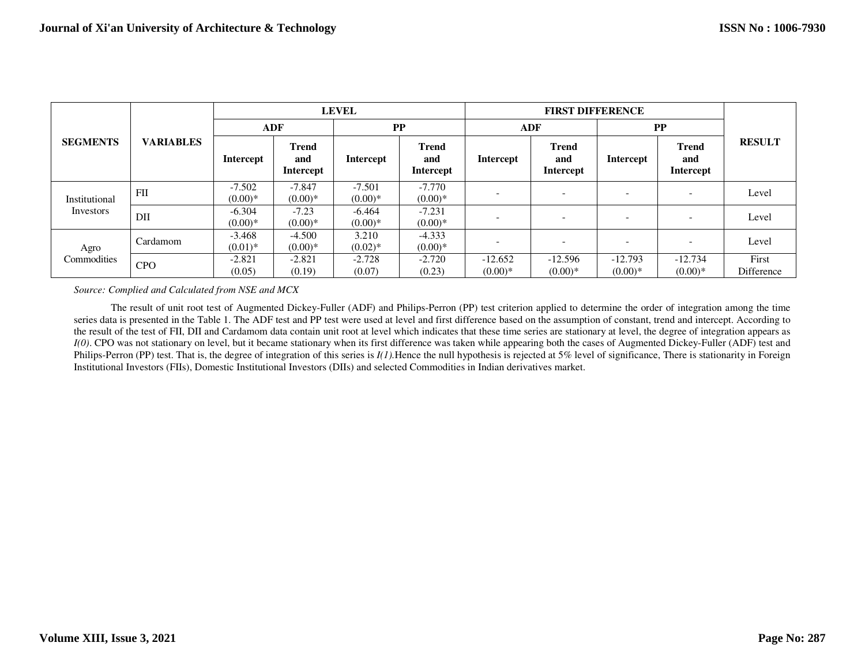|                 | <b>VARIABLES</b> | <b>LEVEL</b>           |                                  |                       | <b>FIRST DIFFERENCE</b>                 |                        |                                         |                        |                                         |                     |
|-----------------|------------------|------------------------|----------------------------------|-----------------------|-----------------------------------------|------------------------|-----------------------------------------|------------------------|-----------------------------------------|---------------------|
| <b>SEGMENTS</b> |                  | <b>ADF</b>             |                                  | PP                    |                                         | <b>ADF</b>             |                                         | PP                     |                                         |                     |
|                 |                  | Intercept              | <b>Trend</b><br>and<br>Intercept | <b>Intercept</b>      | <b>Trend</b><br>and<br><b>Intercept</b> | Intercept              | <b>Trend</b><br>and<br><b>Intercept</b> | <b>Intercept</b>       | <b>Trend</b><br>and<br><b>Intercept</b> | <b>RESULT</b>       |
| Institutional   | FH               | $-7.502$<br>$(0.00)*$  | $-7.847$<br>$(0.00)*$            | $-7.501$<br>$(0.00)*$ | $-7.770$<br>$(0.00)*$                   |                        | $\qquad \qquad$                         |                        | $\overline{\phantom{a}}$                | Level               |
| Investors       | DII              | $-6.304$<br>$(0.00)*$  | $-7.23$<br>$(0.00)*$             | $-6.464$<br>$(0.00)*$ | $-7.231$<br>$(0.00)*$                   |                        | $\qquad \qquad$                         |                        | $\overline{\phantom{a}}$                | Level               |
| Agro            | Cardamom         | $-3.468$<br>$(0.01)$ * | $-4.500$<br>$(0.00)*$            | 3.210<br>$(0.02)^*$   | $-4.333$<br>$(0.00)*$                   |                        | -                                       |                        |                                         | Level               |
| Commodities     | <b>CPO</b>       | $-2.821$<br>(0.05)     | $-2.821$<br>(0.19)               | $-2.728$<br>(0.07)    | $-2.720$<br>(0.23)                      | $-12.652$<br>$(0.00)*$ | $-12.596$<br>$(0.00)*$                  | $-12.793$<br>$(0.00)*$ | $-12.734$<br>$(0.00)*$                  | First<br>Difference |

*Source: Complied and Calculated from NSE and MCX* 

 The result of unit root test of Augmented Dickey-Fuller (ADF) and Philips-Perron (PP) test criterion applied to determine the order of integration among the time series data is presented in the Table 1. The ADF test and PP test were used at level and first difference based on the assumption of constant, trend and intercept. According to the result of the test of FII, DII and Cardamom data contain unit root at level which indicates that these time series are stationary at level, the degree of integration appears as *I(0)*. CPO was not stationary on level, but it became stationary when its first difference was taken while appearing both the cases of Augmented Dickey-Fuller (ADF) test and Philips-Perron (PP) test. That is, the degree of integration of this series is *I(1)*. Hence the null hypothesis is rejected at 5% level of significance, There is stationarity in Foreign Institutional Investors (FIIs), Domestic Institutional Investors (DIIs) and selected Commodities in Indian derivatives market.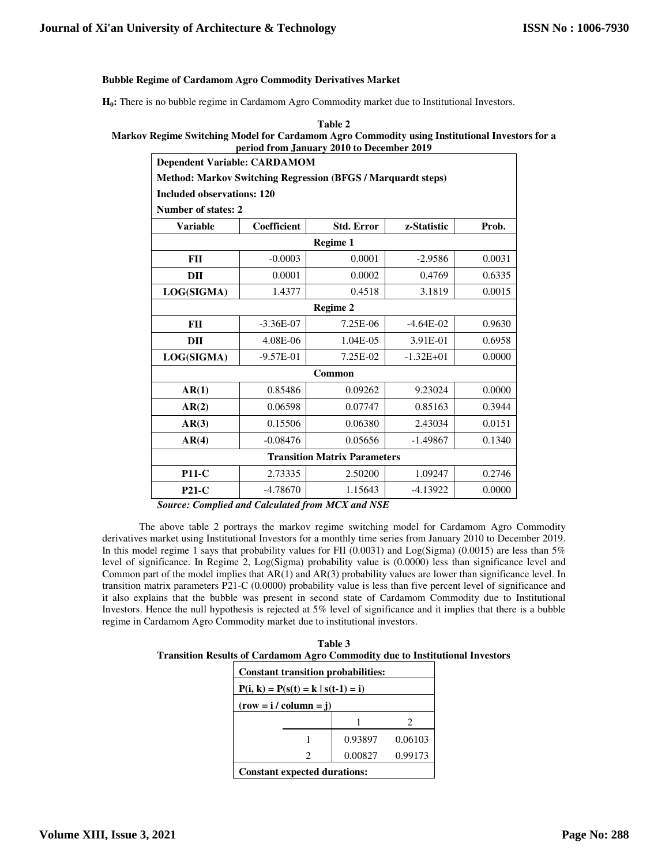# **Bubble Regime of Cardamom Agro Commodity Derivatives Market**

**H0:** There is no bubble regime in Cardamom Agro Commodity market due to Institutional Investors.

| Table 2                                                                                       |  |
|-----------------------------------------------------------------------------------------------|--|
| Markov Regime Switching Model for Cardamom Agro Commodity using Institutional Investors for a |  |
| period from January 2010 to December 2019                                                     |  |
| $1 \cdot 1$ $1 \cdot 11$ $2 \cdot 11$                                                         |  |

| <b>Dependent Variable: CARDAMOM</b>                                 |                    |                   |               |        |  |  |  |
|---------------------------------------------------------------------|--------------------|-------------------|---------------|--------|--|--|--|
| <b>Method: Markov Switching Regression (BFGS / Marquardt steps)</b> |                    |                   |               |        |  |  |  |
| <b>Included observations: 120</b>                                   |                    |                   |               |        |  |  |  |
| <b>Number of states: 2</b>                                          |                    |                   |               |        |  |  |  |
| <b>Variable</b>                                                     | <b>Coefficient</b> | <b>Std. Error</b> | z-Statistic   | Prob.  |  |  |  |
|                                                                     |                    | Regime 1          |               |        |  |  |  |
| FII                                                                 | $-0.0003$          | 0.0001            | $-2.9586$     | 0.0031 |  |  |  |
| DII                                                                 | 0.0001             | 0.0002            | 0.4769        | 0.6335 |  |  |  |
| LOG(SIGMA)                                                          | 1.4377             | 0.4518            | 3.1819        | 0.0015 |  |  |  |
| Regime 2                                                            |                    |                   |               |        |  |  |  |
| <b>FII</b>                                                          | $-3.36E-07$        | 7.25E-06          | $-4.64E-02$   | 0.9630 |  |  |  |
| DII                                                                 | 4.08E-06           | 1.04E-05          | 3.91E-01      | 0.6958 |  |  |  |
| LOG(SIGMA)                                                          | $-9.57E-01$        | 7.25E-02          | $-1.32E + 01$ | 0.0000 |  |  |  |
| Common                                                              |                    |                   |               |        |  |  |  |
| AR(1)                                                               | 0.85486            | 0.09262           | 9.23024       | 0.0000 |  |  |  |
| AR(2)                                                               | 0.06598            | 0.07747           | 0.85163       | 0.3944 |  |  |  |
| AR(3)                                                               | 0.15506            | 0.06380           | 2.43034       | 0.0151 |  |  |  |
| AR(4)                                                               | $-0.08476$         | 0.05656           | $-1.49867$    | 0.1340 |  |  |  |
| <b>Transition Matrix Parameters</b>                                 |                    |                   |               |        |  |  |  |
| <b>P11-C</b>                                                        | 2.73335            | 2.50200           | 1.09247       | 0.2746 |  |  |  |
| $P21-C$                                                             | $-4.78670$         | 1.15643           | $-4.13922$    | 0.0000 |  |  |  |

 *Source: Complied and Calculated from MCX and NSE* 

 The above table 2 portrays the markov regime switching model for Cardamom Agro Commodity derivatives market using Institutional Investors for a monthly time series from January 2010 to December 2019. In this model regime 1 says that probability values for FII (0.0031) and Log(Sigma) (0.0015) are less than 5% level of significance. In Regime 2, Log(Sigma) probability value is (0.0000) less than significance level and Common part of the model implies that AR(1) and AR(3) probability values are lower than significance level. In transition matrix parameters P21-C (0.0000) probability value is less than five percent level of significance and it also explains that the bubble was present in second state of Cardamom Commodity due to Institutional Investors. Hence the null hypothesis is rejected at 5% level of significance and it implies that there is a bubble regime in Cardamom Agro Commodity market due to institutional investors.

| Table 3                                                                             |
|-------------------------------------------------------------------------------------|
| <b>Transition Results of Cardamom Agro Commodity due to Institutional Investors</b> |

| <b>Constant transition probabilities:</b> |   |         |         |  |  |
|-------------------------------------------|---|---------|---------|--|--|
| $P(i, k) = P(s(t) = k   s(t-1) = i)$      |   |         |         |  |  |
| $(row = i / column = i)$                  |   |         |         |  |  |
|                                           |   |         | 2       |  |  |
|                                           |   | 0.93897 | 0.06103 |  |  |
|                                           | 2 | 0.00827 | 0.99173 |  |  |
| <b>Constant expected durations:</b>       |   |         |         |  |  |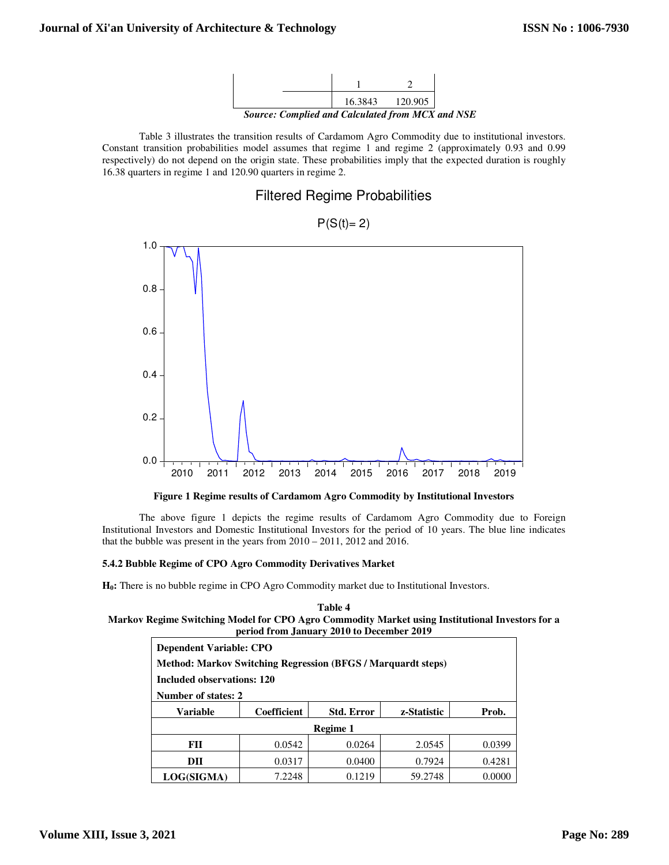

 Table 3 illustrates the transition results of Cardamom Agro Commodity due to institutional investors. Constant transition probabilities model assumes that regime 1 and regime 2 (approximately 0.93 and 0.99 respectively) do not depend on the origin state. These probabilities imply that the expected duration is roughly 16.38 quarters in regime 1 and 120.90 quarters in regime 2.

# Filtered Regime Probabilities



# $P(S(t)=2)$

**Figure 1 Regime results of Cardamom Agro Commodity by Institutional Investors** 

 The above figure 1 depicts the regime results of Cardamom Agro Commodity due to Foreign Institutional Investors and Domestic Institutional Investors for the period of 10 years. The blue line indicates that the bubble was present in the years from 2010 – 2011, 2012 and 2016.

# **5.4.2 Bubble Regime of CPO Agro Commodity Derivatives Market**

**H0:** There is no bubble regime in CPO Agro Commodity market due to Institutional Investors.

| Table 4                                                                                         |
|-------------------------------------------------------------------------------------------------|
| Markov Regime Switching Model for CPO Agro Commodity Market using Institutional Investors for a |
| period from January 2010 to December 2019                                                       |

| <b>Dependent Variable: CPO</b><br><b>Method: Markov Switching Regression (BFGS / Marquardt steps)</b><br>Included observations: 120<br>Number of states: 2 |                    |                   |             |        |  |  |
|------------------------------------------------------------------------------------------------------------------------------------------------------------|--------------------|-------------------|-------------|--------|--|--|
| <b>Variable</b>                                                                                                                                            | <b>Coefficient</b> | <b>Std. Error</b> | z-Statistic | Prob.  |  |  |
| Regime 1                                                                                                                                                   |                    |                   |             |        |  |  |
| FII                                                                                                                                                        | 0.0542             | 0.0264            | 2.0545      | 0.0399 |  |  |
| DII                                                                                                                                                        | 0.0317             | 0.0400            | 0.7924      | 0.4281 |  |  |
| LOG(SIGMA)                                                                                                                                                 | 7.2248             | 0.1219            | 59.2748     | 0.0000 |  |  |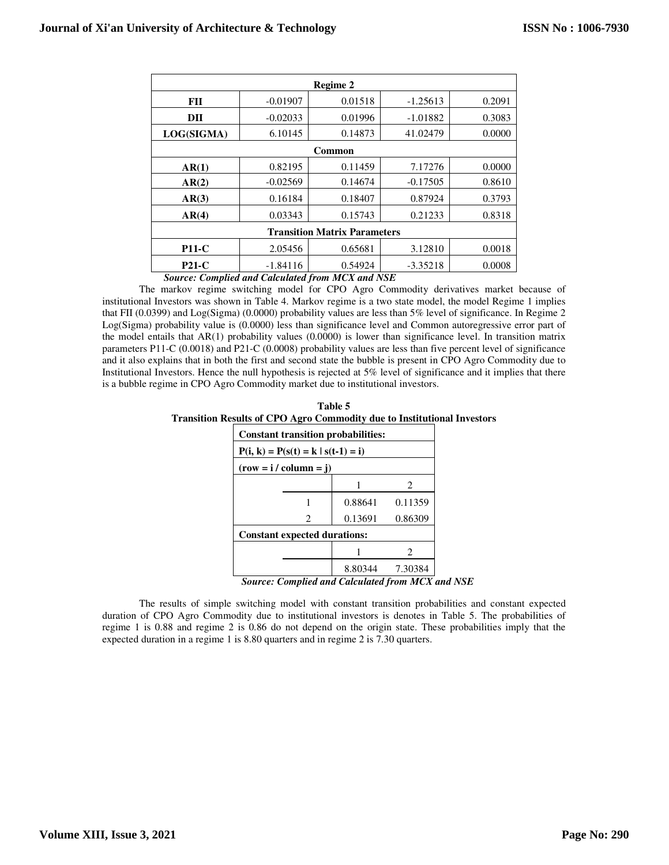| <b>Regime 2</b>                     |            |         |            |        |  |  |  |
|-------------------------------------|------------|---------|------------|--------|--|--|--|
| FII                                 | $-0.01907$ | 0.01518 | $-1.25613$ | 0.2091 |  |  |  |
| DII                                 | $-0.02033$ | 0.01996 | $-1.01882$ | 0.3083 |  |  |  |
| LOG(SIGMA)                          | 6.10145    | 0.14873 | 41.02479   | 0.0000 |  |  |  |
| Common                              |            |         |            |        |  |  |  |
| AR(1)                               | 0.82195    | 0.11459 | 7.17276    | 0.0000 |  |  |  |
| AR(2)                               | $-0.02569$ | 0.14674 | $-0.17505$ | 0.8610 |  |  |  |
| AR(3)                               | 0.16184    | 0.18407 | 0.87924    | 0.3793 |  |  |  |
| AR(4)                               | 0.03343    | 0.15743 | 0.21233    | 0.8318 |  |  |  |
| <b>Transition Matrix Parameters</b> |            |         |            |        |  |  |  |
| $P11-C$                             | 2.05456    | 0.65681 | 3.12810    | 0.0018 |  |  |  |
| $P21-C$                             | $-1.84116$ | 0.54924 | $-3.35218$ | 0.0008 |  |  |  |

*Source: Complied and Calculated from MCX and NSE*

 The markov regime switching model for CPO Agro Commodity derivatives market because of institutional Investors was shown in Table 4. Markov regime is a two state model, the model Regime 1 implies that FII (0.0399) and Log(Sigma) (0.0000) probability values are less than 5% level of significance. In Regime 2 Log(Sigma) probability value is (0.0000) less than significance level and Common autoregressive error part of the model entails that AR(1) probability values (0.0000) is lower than significance level. In transition matrix parameters P11-C (0.0018) and P21-C (0.0008) probability values are less than five percent level of significance and it also explains that in both the first and second state the bubble is present in CPO Agro Commodity due to Institutional Investors. Hence the null hypothesis is rejected at 5% level of significance and it implies that there is a bubble regime in CPO Agro Commodity market due to institutional investors.

**Table 5 Transition Results of CPO Agro Commodity due to Institutional Investors** 

| $P(i, k) = P(s(t) = k   s(t-1) = i)$ |         |                                           |  |  |  |  |
|--------------------------------------|---------|-------------------------------------------|--|--|--|--|
| $(row = i / column = j)$             |         |                                           |  |  |  |  |
|                                      |         | 2                                         |  |  |  |  |
|                                      | 0.88641 | 0.11359                                   |  |  |  |  |
| 2                                    | 0.13691 | 0.86309                                   |  |  |  |  |
| <b>Constant expected durations:</b>  |         |                                           |  |  |  |  |
|                                      |         | 2                                         |  |  |  |  |
|                                      | 8.80344 | 7.30384                                   |  |  |  |  |
|                                      |         | <b>Constant transition probabilities:</b> |  |  |  |  |

*Source: Complied and Calculated from MCX and NSE*

 The results of simple switching model with constant transition probabilities and constant expected duration of CPO Agro Commodity due to institutional investors is denotes in Table 5. The probabilities of regime 1 is 0.88 and regime 2 is 0.86 do not depend on the origin state. These probabilities imply that the expected duration in a regime 1 is 8.80 quarters and in regime 2 is 7.30 quarters.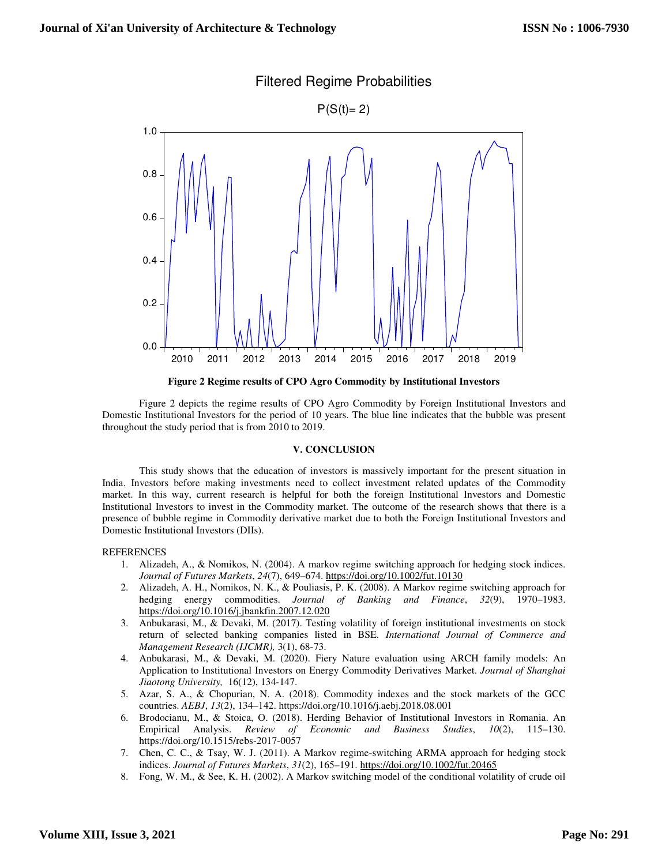

# Filtered Regime Probabilities

**Figure 2 Regime results of CPO Agro Commodity by Institutional Investors** 

 Figure 2 depicts the regime results of CPO Agro Commodity by Foreign Institutional Investors and Domestic Institutional Investors for the period of 10 years. The blue line indicates that the bubble was present throughout the study period that is from 2010 to 2019.

#### **V. CONCLUSION**

 This study shows that the education of investors is massively important for the present situation in India. Investors before making investments need to collect investment related updates of the Commodity market. In this way, current research is helpful for both the foreign Institutional Investors and Domestic Institutional Investors to invest in the Commodity market. The outcome of the research shows that there is a presence of bubble regime in Commodity derivative market due to both the Foreign Institutional Investors and Domestic Institutional Investors (DIIs).

#### REFERENCES

- 1. Alizadeh, A., & Nomikos, N. (2004). A markov regime switching approach for hedging stock indices. *Journal of Futures Markets*, *24*(7), 649–674. https://doi.org/10.1002/fut.10130
- 2. Alizadeh, A. H., Nomikos, N. K., & Pouliasis, P. K. (2008). A Markov regime switching approach for hedging energy commodities. *Journal of Banking and Finance*, *32*(9), 1970–1983. https://doi.org/10.1016/j.jbankfin.2007.12.020
- 3. Anbukarasi, M., & Devaki, M. (2017). Testing volatility of foreign institutional investments on stock return of selected banking companies listed in BSE. *International Journal of Commerce and Management Research (IJCMR),* 3(1), 68-73.
- 4. Anbukarasi, M., & Devaki, M. (2020). Fiery Nature evaluation using ARCH family models: An Application to Institutional Investors on Energy Commodity Derivatives Market. *Journal of Shanghai Jiaotong University,* 16(12), 134-147.
- 5. Azar, S. A., & Chopurian, N. A. (2018). Commodity indexes and the stock markets of the GCC countries. *AEBJ*, *13*(2), 134–142. https://doi.org/10.1016/j.aebj.2018.08.001
- 6. Brodocianu, M., & Stoica, O. (2018). Herding Behavior of Institutional Investors in Romania. An Empirical Analysis. *Review of Economic and Business Studies*, *10*(2), 115–130. https://doi.org/10.1515/rebs-2017-0057
- 7. Chen, C. C., & Tsay, W. J. (2011). A Markov regime-switching ARMA approach for hedging stock indices. *Journal of Futures Markets*, *31*(2), 165–191. https://doi.org/10.1002/fut.20465
- 8. Fong, W. M., & See, K. H. (2002). A Markov switching model of the conditional volatility of crude oil